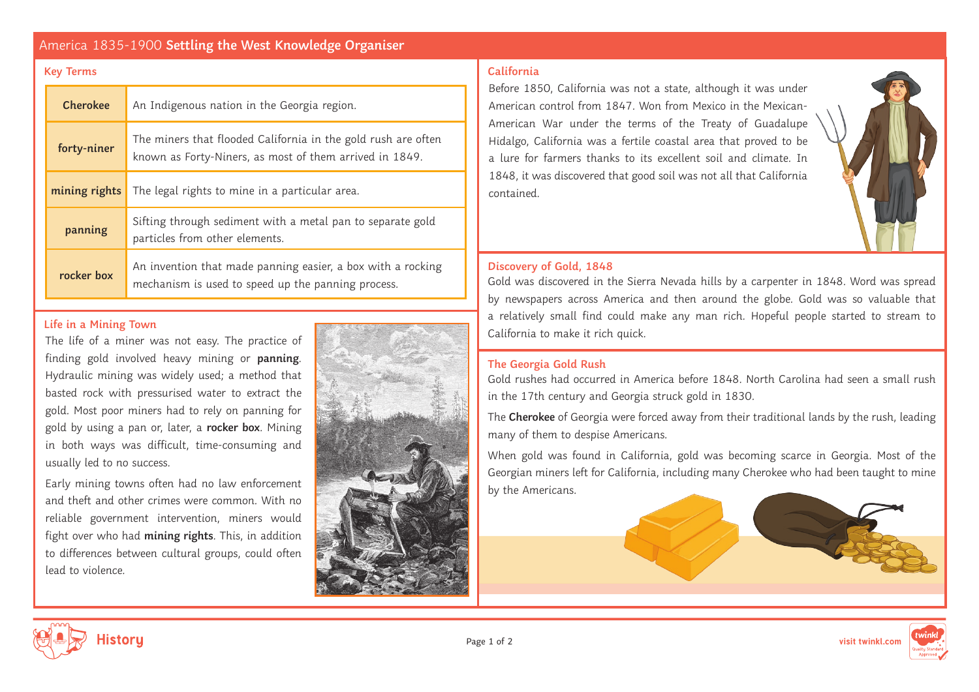# America 1835-1900 **Settling the West Knowledge Organiser**

#### **Key Terms California**

| <b>Cherokee</b> | An Indigenous nation in the Georgia region.                                                                              |
|-----------------|--------------------------------------------------------------------------------------------------------------------------|
| forty-niner     | The miners that flooded California in the gold rush are often<br>known as Forty-Niners, as most of them arrived in 1849. |
| mining rights   | The legal rights to mine in a particular area.                                                                           |
| panning         | Sifting through sediment with a metal pan to separate gold<br>particles from other elements.                             |
| rocker box      | An invention that made panning easier, a box with a rocking<br>mechanism is used to speed up the panning process.        |

The life of a miner was not easy. The practice of finding gold involved heavy mining or **panning**. Hydraulic mining was widely used; a method that basted rock with pressurised water to extract the gold. Most poor miners had to rely on panning for gold by using a pan or, later, a **rocker box**. Mining in both ways was difficult, time-consuming and usually led to no success.

Early mining towns often had no law enforcement and theft and other crimes were common. With no reliable government intervention, miners would fight over who had **mining rights**. This, in addition to differences between cultural groups, could often lead to violence.

Before 1850, California was not a state, although it was under American control from 1847. Won from Mexico in the Mexican-American War under the terms of the Treaty of Guadalupe Hidalgo, California was a fertile coastal area that proved to be a lure for farmers thanks to its excellent soil and climate. In 1848, it was discovered that good soil was not all that California contained.



### **Discovery of Gold, 1848**

Gold was discovered in the Sierra Nevada hills by a carpenter in 1848. Word was spread by newspapers across America and then around the globe. Gold was so valuable that a relatively small find could make any man rich. Hopeful people started to stream to Life in a Mining Town<br>
Life in a Mining Town

### **The Georgia Gold Rush**

Gold rushes had occurred in America before 1848. North Carolina had seen a small rush in the 17th century and Georgia struck gold in 1830.

The **Cherokee** of Georgia were forced away from their traditional lands by the rush, leading many of them to despise Americans.

When gold was found in California, gold was becoming scarce in Georgia. Most of the Georgian miners left for California, including many Cherokee who had been taught to mine by the Americans.